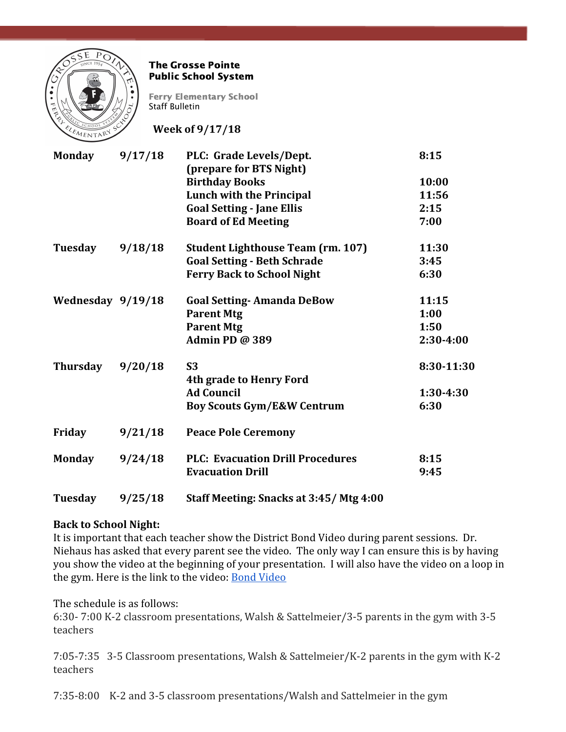

#### The Grosse Pointe Public School System

Ferry Elementary School Staff Bulletin

**Week of 9/17/18**

| <b>Monday</b>     | 9/17/18 | PLC: Grade Levels/Dept.<br>(prepare for BTS Night) | 8:15       |
|-------------------|---------|----------------------------------------------------|------------|
|                   |         | <b>Birthday Books</b>                              | 10:00      |
|                   |         | <b>Lunch with the Principal</b>                    | 11:56      |
|                   |         | <b>Goal Setting - Jane Ellis</b>                   | 2:15       |
|                   |         | <b>Board of Ed Meeting</b>                         | 7:00       |
| Tuesday           | 9/18/18 | <b>Student Lighthouse Team (rm. 107)</b>           | 11:30      |
|                   |         | <b>Goal Setting - Beth Schrade</b>                 | 3:45       |
|                   |         | <b>Ferry Back to School Night</b>                  | 6:30       |
| Wednesday 9/19/18 |         | <b>Goal Setting-Amanda DeBow</b>                   | 11:15      |
|                   |         | <b>Parent Mtg</b>                                  | 1:00       |
|                   |         | <b>Parent Mtg</b>                                  | 1:50       |
|                   |         | Admin PD @ 389                                     | 2:30-4:00  |
| <b>Thursday</b>   | 9/20/18 | <b>S3</b>                                          | 8:30-11:30 |
|                   |         | <b>4th grade to Henry Ford</b>                     |            |
|                   |         | <b>Ad Council</b>                                  | 1:30-4:30  |
|                   |         | <b>Boy Scouts Gym/E&amp;W Centrum</b>              | 6:30       |
| Friday            | 9/21/18 | <b>Peace Pole Ceremony</b>                         |            |
| <b>Monday</b>     | 9/24/18 | <b>PLC: Evacuation Drill Procedures</b>            | 8:15       |
|                   |         | <b>Evacuation Drill</b>                            | 9:45       |
| Tuesday           | 9/25/18 | Staff Meeting: Snacks at 3:45/Mtg 4:00             |            |

# **Back to School Night:**

It is important that each teacher show the District Bond Video during parent sessions. Dr. Niehaus has asked that every parent see the video. The only way I can ensure this is by having you show the video at the beginning of your presentation. I will also have the video on a loop in the gym. Here is the link to the video: **[Bond Video](https://mi01000971.schoolwires.net/Page/16840)** 

The schedule is as follows:

6:30- 7:00 K-2 classroom presentations, Walsh & Sattelmeier/3-5 parents in the gym with 3-5 teachers

7:05-7:35 3-5 Classroom presentations, Walsh & Sattelmeier/K-2 parents in the gym with K-2 teachers

7:35-8:00 K-2 and 3-5 classroom presentations/Walsh and Sattelmeier in the gym